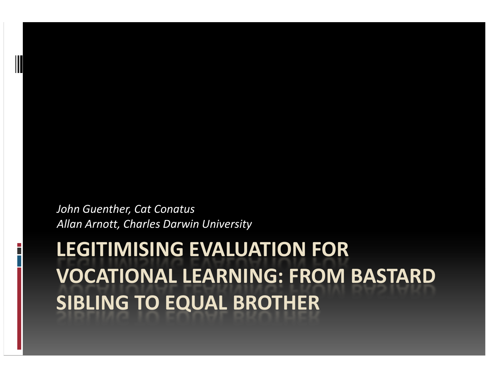John Guenther, Cat ConatusAllan Arnott, Charles Darwin University

# LEGITIMISING EVALUATION FOR VOCATIONAL LEARNING: FROM BASTARD SIBLING TO EQUAL BROTHER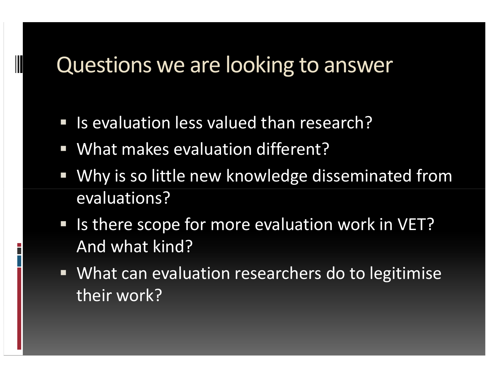## Questions we are looking to answer

- **IF Is evaluation less valued than research?**
- What makes evaluation different?
- $\mathcal{L}_{\mathcal{A}}$  Why is so little new knowledge disseminated from evaluations?
- **IF Is there scope for more evaluation work in VET?** And what kind?
- What can evaluation researchers do to legitimise their work?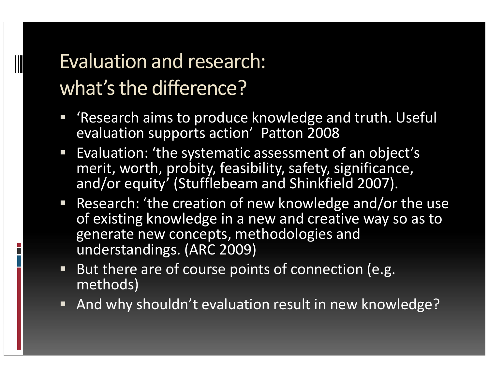# Evaluation and research: what's the difference?

- 'Research aims to produce knowledge and truth. Useful evaluation supports action' Patton 2008
- **Evaluation: 'the systematic assessment of an object's**  $\overline{\mathcal{L}}$ merit, worth, probity, feasibility, safety, significance, and/or equity' (Stufflebeam and Shinkfield 2007).
- **Research: 'the creation of new knowledge and/or the use** of existing knowledge in a new and creative way so as to generate new concepts, methodologies and understandings. (ARC 2009)
- But there are of course points of connection (e.g. methods)
- And why shouldn't evaluation result in new knowledge?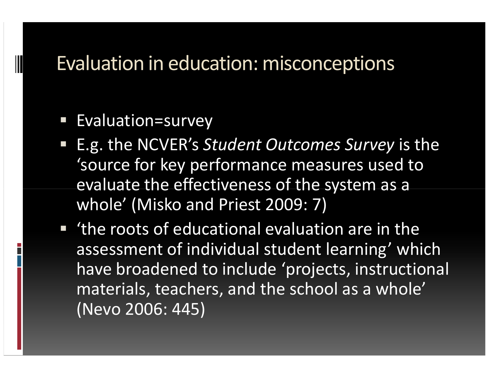#### Evaluation in education: misconceptions

#### $\mathcal{L}_{\mathcal{A}}$ Evaluation=survey

- E.g. the NCVER's Student Outcomes Survey is the 'source for key performance measures used to evaluate the effectiveness of the system as a whole' (Misko and Priest 2009: 7)
- 'the roots of educational evaluation are in the assessment of individual student learning' which have broadened to include 'projects, instructional materials, teachers, and the school as a whole' (Nevo 2006: 445)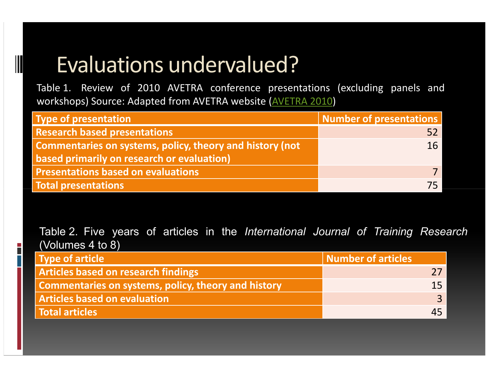# Evaluations undervalued?

 $\overline{\phantom{a}}$ П

 Table 1. Review of <sup>2010</sup> AVETRA conference presentations (excluding panels andworkshops) Source: Adapted from AVETRA website (AVETRA 2010)

| <b>Type of presentation</b>                              | Number of presentations |
|----------------------------------------------------------|-------------------------|
| <b>Research based presentations</b>                      |                         |
| Commentaries on systems, policy, theory and history (not | 16                      |
| based primarily on research or evaluation)               |                         |
| <b>Presentations based on evaluations</b>                |                         |
| <b>Total presentations</b>                               |                         |

Table 2. Five years of articles in the International Journal of Training Research (Volumes <sup>4</sup> to 8)

| <b>Type of article</b>                                     | Number of articles |
|------------------------------------------------------------|--------------------|
| <b>Articles based on research findings</b>                 |                    |
| <b>Commentaries on systems, policy, theory and history</b> |                    |
| <b>Articles based on evaluation</b>                        |                    |
| Total articles                                             |                    |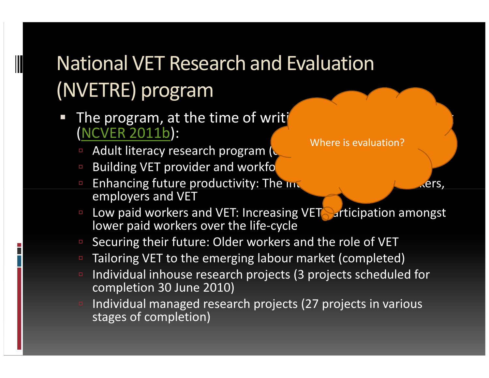# National VET Research and Evaluation (NVETRE) program

- The program, at the time of writing include the following include the following  $\frac{1}{2}$ (NCVER 2011b):
	- -Adult literacy research program  $(c)$
	- -Building VET provider and workfo
	- -Enhancing future productivity: The interdependence of workers, employers and VET
	- **Low paid workers and VET: Increasing VET** articipation amongst lower paid workers over the life-cycle
	- Securing their future: Older workers and the role of VET
	- Tailoring VET to the emerging labour market (completed)
	- Individual inhouse research projects (3 projects scheduled for completion 30 June 2010)
	- Individual managed research projects (27 projects in various stages of completion)

Where is evaluation?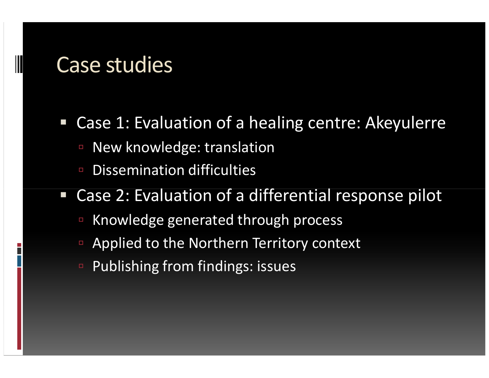## Case studies

- $\Box$  Case 1: Evaluation of a healing centre: Akeyulerre
	- -New knowledge: translation
	- -Dissemination difficulties
- Case 2: Evaluation of a differential response pilot
	- -Knowledge generated through process
	- -Applied to the Northern Territory context
	- Publishing from findings: issues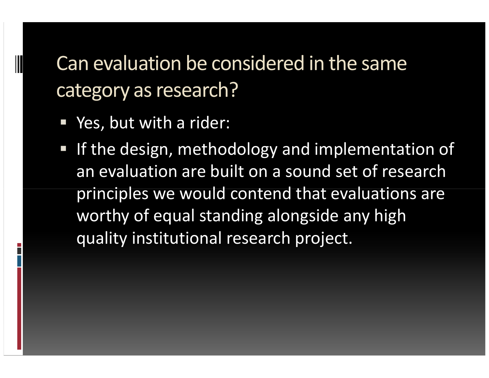Can evaluation be considered in the same category as research?

- Yes, but with a rider:
- **If the design, methodology and implementation of** an evaluation are built on a sound set of research principles we would contend that evaluations are worthy of equal standing alongside any high quality institutional research project.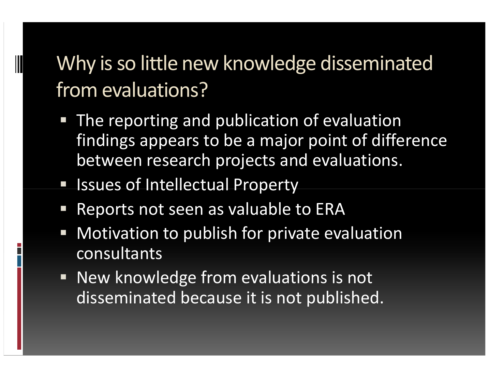# Why is so little new knowledge disseminated from evaluations?

- $\mathcal{L}_{\mathcal{A}}$  The reporting and publication of evaluation findings appears to be a major point of difference between research projects and evaluations.
- **Exercise Set Intellectual Property**
- $\mathcal{L}_{\mathcal{A}}$ Reports not seen as valuable to ERA
- Motivation to publish for private evaluation consultants
- П New knowledge from evaluations is not disseminated because it is not published.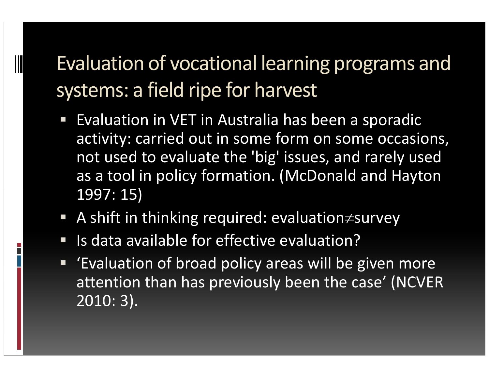# Evaluation of vocational learning programs and systems: a field ripe for harvest

- $\mathcal{L}_{\mathcal{A}}$  Evaluation in VET in Australia has been a sporadic activity: carried out in some form on some occasions, not used to evaluate the 'big' issues, and rarely used as a tool in policy formation. (McDonald and Hayton1997: 15)
- A shift in thinking required: evaluation≠survey
- $\mathcal{L}_{\mathcal{A}}$ Is data available for effective evaluation?
- $\blacksquare$  'Evaluation of broad policy areas will be given more attention than has previously been the case' (NCVER2010: 3).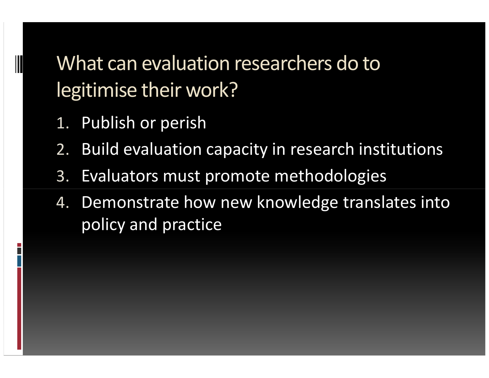What can evaluation researchers do to legitimise their work?

- 1.Publish or perish
- 2.Build evaluation capacity in research institutions
- 3.Evaluators must promote methodologies
- 4. Demonstrate how new knowledge translates into policy and practice